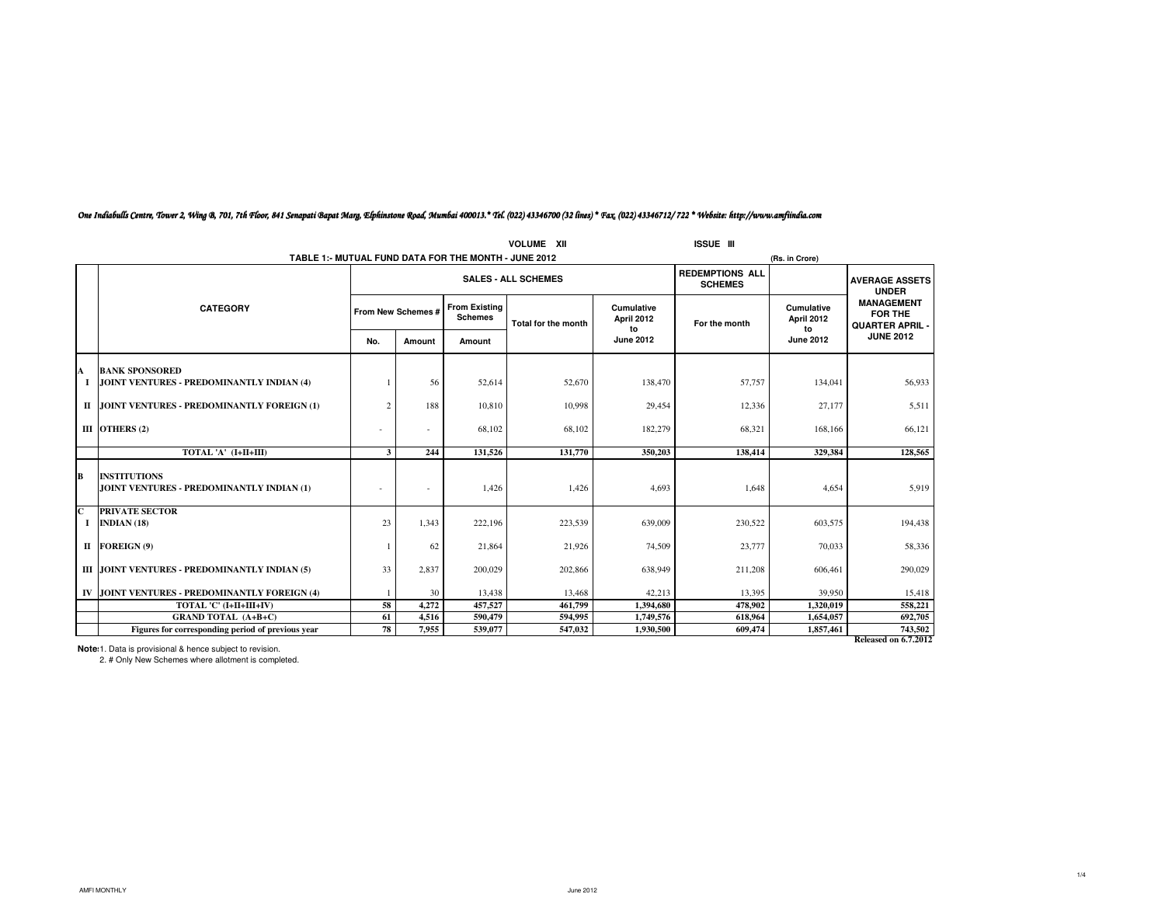| <b>VOLUME XII</b><br><b>ISSUE III</b> |                                                                    |                          |                            |                                                      |                     |                          |               |                                          |                                                                               |  |  |
|---------------------------------------|--------------------------------------------------------------------|--------------------------|----------------------------|------------------------------------------------------|---------------------|--------------------------|---------------|------------------------------------------|-------------------------------------------------------------------------------|--|--|
|                                       |                                                                    |                          |                            | TABLE 1:- MUTUAL FUND DATA FOR THE MONTH - JUNE 2012 |                     |                          |               | (Rs. in Crore)                           |                                                                               |  |  |
|                                       |                                                                    |                          | <b>SALES - ALL SCHEMES</b> |                                                      |                     |                          |               | <b>REDEMPTIONS ALL</b><br><b>SCHEMES</b> |                                                                               |  |  |
|                                       | <b>CATEGORY</b>                                                    |                          | From New Schemes #         | <b>From Existing</b><br><b>Schemes</b>               | Total for the month | Cumulative<br>April 2012 | For the month | <b>Cumulative</b><br>April 2012          | <b>UNDER</b><br><b>MANAGEMENT</b><br><b>FOR THE</b><br><b>QUARTER APRIL -</b> |  |  |
|                                       |                                                                    | No.                      | Amount                     | Amount                                               |                     | to<br><b>June 2012</b>   |               | to<br><b>June 2012</b>                   | <b>JUNE 2012</b>                                                              |  |  |
|                                       |                                                                    |                          |                            |                                                      |                     |                          |               |                                          |                                                                               |  |  |
| A                                     | <b>BANK SPONSORED</b><br>JOINT VENTURES - PREDOMINANTLY INDIAN (4) |                          | 56                         | 52,614                                               | 52,670              | 138,470                  | 57,757        | 134,041                                  | 56,933                                                                        |  |  |
|                                       | II JOINT VENTURES - PREDOMINANTLY FOREIGN (1)                      | $\overline{2}$           | 188                        | 10.810                                               | 10.998              | 29.454                   | 12,336        | 27,177                                   | 5.511                                                                         |  |  |
|                                       | III OTHERS $(2)$                                                   | $\overline{\phantom{a}}$ |                            | 68,102                                               | 68,102              | 182,279                  | 68,321        | 168,166                                  | 66,121                                                                        |  |  |
|                                       | TOTAL 'A' (I+II+III)                                               | 3                        | 244                        | 131,526                                              | 131,770             | 350,203                  | 138,414       | 329.384                                  | 128,565                                                                       |  |  |
| B                                     | <b>INSTITUTIONS</b><br>JOINT VENTURES - PREDOMINANTLY INDIAN (1)   |                          |                            | 1,426                                                | 1,426               | 4,693                    | 1,648         | 4,654                                    | 5,919                                                                         |  |  |
| $\mathbf C$<br>1                      | <b>PRIVATE SECTOR</b><br>INDIAN $(18)$                             | 23                       | 1.343                      | 222,196                                              | 223,539             | 639,009                  | 230,522       | 603,575                                  | 194,438                                                                       |  |  |
|                                       | II FOREIGN (9)                                                     |                          | 62                         | 21,864                                               | 21.926              | 74,509                   | 23,777        | 70.033                                   | 58,336                                                                        |  |  |
|                                       | III JOINT VENTURES - PREDOMINANTLY INDIAN (5)                      | 33                       | 2,837                      | 200,029                                              | 202,866             | 638,949                  | 211,208       | 606,461                                  | 290,029                                                                       |  |  |
|                                       | IV JOINT VENTURES - PREDOMINANTLY FOREIGN (4)                      |                          | 30                         | 13,438                                               | 13,468              | 42,213                   | 13,395        | 39.950                                   | 15,418                                                                        |  |  |
|                                       | TOTAL 'C' (I+II+III+IV)                                            | 58                       | 4.272                      | 457,527                                              | 461.799             | 1.394.680                | 478,902       | 1.320.019                                | 558,221                                                                       |  |  |
|                                       | <b>GRAND TOTAL (A+B+C)</b>                                         | 61                       | 4,516                      | 590,479                                              | 594,995             | 1,749,576                | 618,964       | 1,654,057                                | 692,705                                                                       |  |  |
|                                       | Figures for corresponding period of previous year                  | 78                       | 7,955                      | 539,077                                              | 547,032             | 1,930,500                | 609,474       | 1,857,461                                | 743,502                                                                       |  |  |
|                                       |                                                                    |                          |                            |                                                      |                     |                          |               |                                          | Released on 6.7.2012                                                          |  |  |

## *One Indiabulls Centre, Tower 2, Wing B, 701, 7th Floor, 841 Senapati Bapat Marg, Elphinstone Road, Mumbai 400013.\* Tel. (022) 43346700 (32 lines) \* Fax. (022) 43346712/ 722 \* Website: http://www.amfiindia.com*

**Notes:**1. Data is provisional & hence subject to revision. 2. # Only New Schemes where allotment is completed.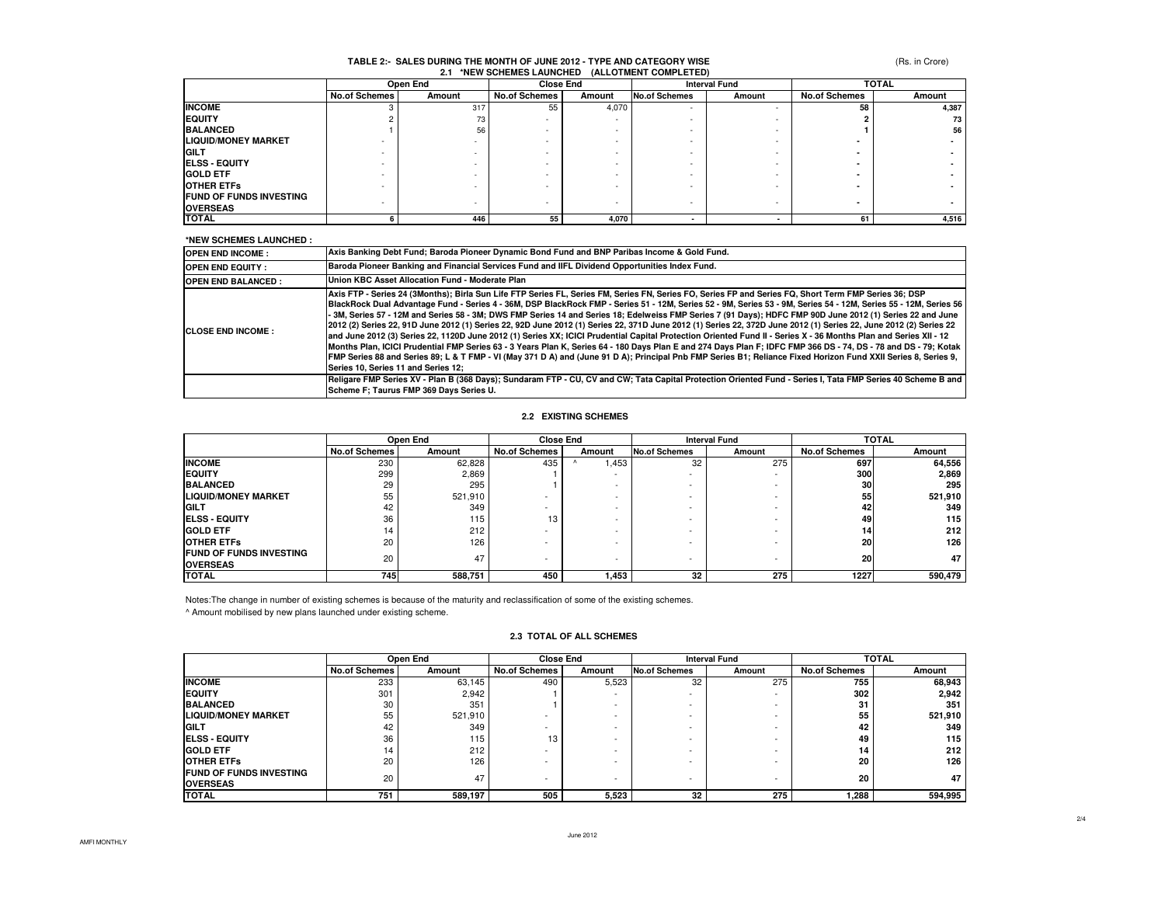## **TABLE 2:- SALES DURING THE MONTH OF JUNE 2012 - TYPE AND CATEGORY WISE2.1 \*NEW SCHEMES LAUNCHED (ALLOTMENT COMPLETED)**

(Rs. in Crore)

|                                |               | Open End                 |                      | <b>Close End</b> |               | <b>Interval Fund</b> |                      | <b>TOTAL</b> |
|--------------------------------|---------------|--------------------------|----------------------|------------------|---------------|----------------------|----------------------|--------------|
|                                | No.of Schemes | Amount                   | <b>No.of Schemes</b> | Amount           | No.of Schemes | Amount               | <b>No.of Schemes</b> | Amount       |
| <b>INCOME</b>                  |               | 317                      | 55                   | 4,070            | ٠             |                      | 58                   | 4,387        |
| <b>EQUITY</b>                  |               | 73                       |                      |                  |               |                      |                      | 73           |
| <b>BALANCED</b>                |               | 56                       |                      |                  |               |                      |                      | 56           |
| <b>LIQUID/MONEY MARKET</b>     |               |                          |                      |                  |               |                      |                      |              |
| <b>GILT</b>                    |               |                          |                      |                  |               |                      |                      |              |
| <b>IELSS - EQUITY</b>          |               |                          |                      |                  |               |                      |                      |              |
| <b>GOLD ETF</b>                |               | $\overline{\phantom{a}}$ |                      |                  |               |                      |                      |              |
| <b>OTHER ETFS</b>              |               |                          |                      |                  |               |                      |                      |              |
| <b>FUND OF FUNDS INVESTING</b> |               |                          |                      |                  | -             |                      |                      |              |
| <b>OVERSEAS</b>                |               |                          |                      |                  |               |                      |                      |              |
| <b>TOTAL</b>                   |               | 446                      | 55                   | 4,070            |               |                      | 61                   | 4,516        |

#### **\*NEW SCHEMES LAUNCHED : OPEN END INCOME : OPEN END EQUITY : OPEN END BALANCED :CLOSE END INCOME :Axis FTP - Series 24 (3Months); Birla Sun Life FTP Series FL, Series FM, Series FN, Series FO, Series FP and Series FQ, Short Term FMP Series 36; DSP BlackRock Dual Advantage Fund - Series 4 - 36M, DSP BlackRock FMP - Series 51 - 12M, Series 52 - 9M, Series 53 - 9M, Series 54 - 12M, Series 55 - 12M, Series 56 - 3M, Series 57 - 12M and Series 58 - 3M; DWS FMP Series 14 and Series 18; Edelweiss FMP Series 7 (91 Days); HDFC FMP 90D June 2012 (1) Series 22 and June 2012 (2) Series 22, 91D June 2012 (1) Series 22, 92D June 2012 (1) Series 22, 371D June 2012 (1) Series 22, 372D June 2012 (1) Series 22, June 2012 (2) Series 22 and June 2012 (3) Series 22, 1120D June 2012 (1) Series XX; ICICI Prudential Capital Protection Oriented Fund II - Series X - 36 Months Plan and Series XII - 12 Months Plan, ICICI Prudential FMP Series 63 - 3 Years Plan K, Series 64 - 180 Days Plan E and 274 Days Plan F; IDFC FMP 366 DS - 74, DS - 78 and DS - 79; Kotak FMP Series 88 and Series 89; L & T FMP - VI (May 371 D A) and (June 91 D A); Principal Pnb FMP Series B1; Reliance Fixed Horizon Fund XXII Series 8, Series 9, Series 10, Series 11 and Series 12; Religare FMP Series XV - Plan B (368 Days); Sundaram FTP - CU, CV and CW; Tata Capital Protection Oriented Fund - Series I, Tata FMP Series 40 Scheme B and Scheme F; Taurus FMP 369 Days Series U. Axis Banking Debt Fund; Baroda Pioneer Dynamic Bond Fund and BNP Paribas Income & Gold Fund.Baroda Pioneer Banking and Financial Services Fund and IIFL Dividend Opportunities Index Fund.Union KBC Asset Allocation Fund - Moderate Plan**

## **2.2 EXISTING SCHEMES**

|                                                    |                      | Open End | <b>Close End</b>     |                          | <b>Interval Fund</b>     |                          | <b>TOTAL</b>         |         |
|----------------------------------------------------|----------------------|----------|----------------------|--------------------------|--------------------------|--------------------------|----------------------|---------|
|                                                    | <b>No.of Schemes</b> | Amount   | <b>No.of Schemes</b> | Amount                   | No.of Schemes            | Amount                   | <b>No.of Schemes</b> | Amount  |
| <b>INCOME</b>                                      | 230                  | 62,828   | 435                  | .,453                    | 32                       | 275                      | 697                  | 64,556  |
| <b>EQUITY</b>                                      | 299                  | 2,869    |                      | $\overline{\phantom{0}}$ | ۰                        | $\overline{\phantom{0}}$ | 300                  | 2,869   |
| <b>BALANCED</b>                                    | 29                   | 295      |                      | ۰                        | -                        | -                        | 30                   | 295     |
| <b>LIQUID/MONEY MARKET</b>                         | 55                   | 521,910  |                      | ۰                        | $\sim$                   | <b>.</b>                 | 55                   | 521,910 |
| <b>IGILT</b>                                       | 42                   | 349      | ۰                    | $\overline{\phantom{a}}$ | ۰                        | <u>.</u>                 | 42                   | 349     |
| <b>IELSS - EQUITY</b>                              | 36                   | 115      | 13                   |                          |                          | <b>.</b>                 | 49                   | 115     |
| <b>GOLD ETF</b>                                    | 14                   | 212      |                      | $\overline{\phantom{a}}$ | $\sim$                   |                          | 14                   | 212     |
| <b>OTHER ETFS</b>                                  | 20                   | 126      |                      | $\overline{\phantom{a}}$ | $\overline{\phantom{a}}$ | <b>.</b>                 | 20                   | 126     |
| <b>IFUND OF FUNDS INVESTING</b><br><b>OVERSEAS</b> | 20                   | 47       | -                    | $\overline{\phantom{a}}$ | $\overline{\phantom{0}}$ | $\overline{\phantom{a}}$ | 20                   | 47      |
| <b>TOTAL</b>                                       | 745                  | 588,751  | 450                  | 1,453                    | 32                       | 275                      | 1227                 | 590,479 |

Notes:The change in number of existing schemes is because of the maturity and reclassification of some of the existing schemes.

^ Amount mobilised by new plans launched under existing scheme.

## **2.3 TOTAL OF ALL SCHEMES**

|                                |                      | Open End | <b>Close End</b>         |        | <b>Interval Fund</b>     |                          | <b>TOTAL</b>         |         |
|--------------------------------|----------------------|----------|--------------------------|--------|--------------------------|--------------------------|----------------------|---------|
|                                | <b>No.of Schemes</b> | Amount   | <b>No.of Schemes</b>     | Amount | <b>No.of Schemes</b>     | Amount                   | <b>No.of Schemes</b> | Amount  |
| <b>INCOME</b>                  | 233                  | 63.145   | 490                      | 5,523  | 32                       | 275                      | 755                  | 68,943  |
| <b>EQUITY</b>                  | 301                  | 2.942    |                          | -      | $\sim$                   | $\sim$                   | 302                  | 2,942   |
| <b>BALANCED</b>                | 30                   | 351      |                          |        |                          | -                        | 31                   | 351     |
| <b>LIQUID/MONEY MARKET</b>     | 55                   | 521,910  |                          | -      | -                        | -                        | 55                   | 521,910 |
| <b>GILT</b>                    | 42                   | 349      |                          | -      | -                        | -                        | 42                   | 349     |
| <b>ELSS - EQUITY</b>           | 36                   | 115      | 13                       | -      | $\overline{\phantom{0}}$ | $\overline{\phantom{a}}$ | 49                   | 115     |
| <b>GOLD ETF</b>                | 14                   | 212      |                          |        |                          | -                        | 14                   | 212     |
| <b>OTHER ETFS</b>              | 20                   | 126      |                          | -      | -                        | -                        | 20                   | 126     |
| <b>FUND OF FUNDS INVESTING</b> | 20                   | 47       | $\overline{\phantom{a}}$ | -      | $\overline{\phantom{a}}$ | $\overline{\phantom{a}}$ | 20                   | 47      |
| <b>OVERSEAS</b>                |                      |          |                          |        |                          |                          |                      |         |
| <b>TOTAL</b>                   | 751                  | 589,197  | 505                      | 5,523  | 32                       | 275                      | 1,288                | 594,995 |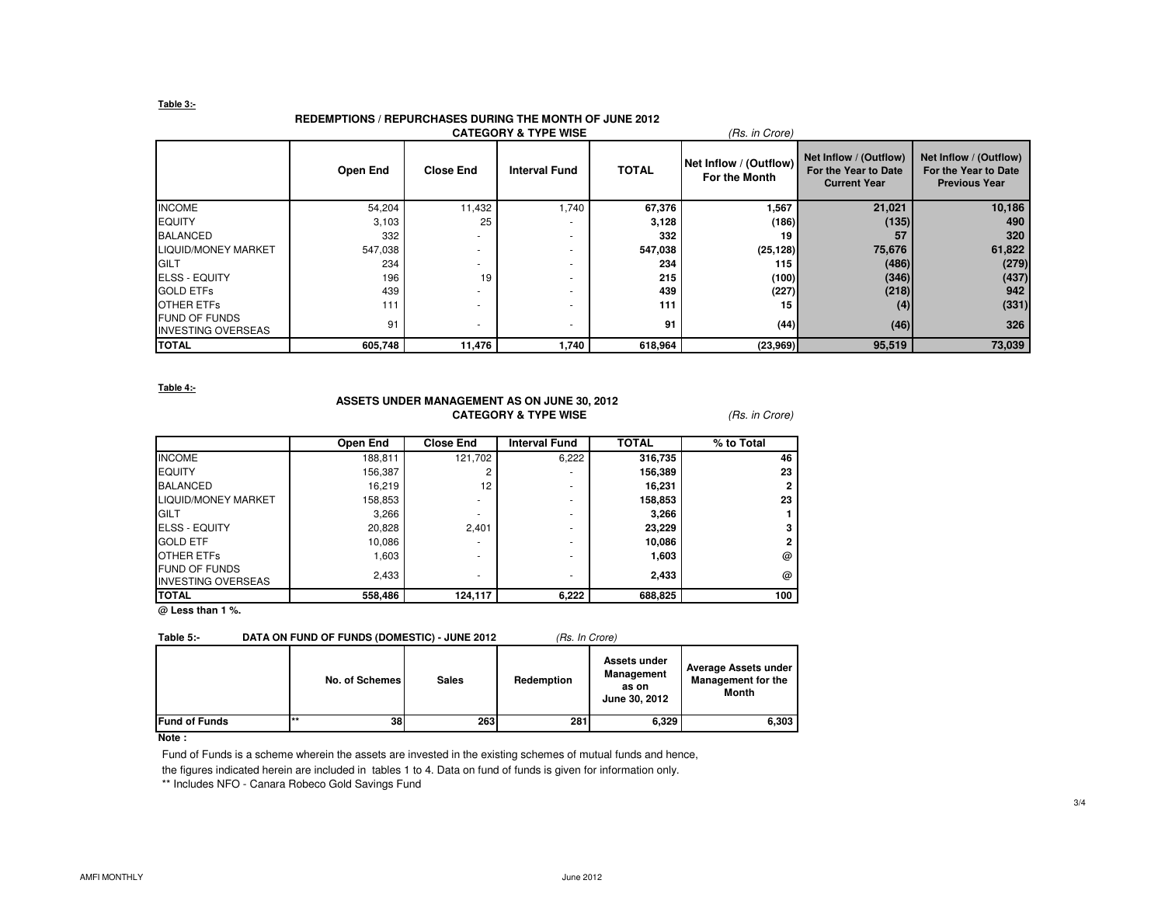## **Table 3:-**

# **REDEMPTIONS / REPURCHASES DURING THE MONTH OF JUNE 2012**

|                                                   | <b>CATEGORY &amp; TYPE WISE</b><br>(Rs. in Crore) |                  |                      |              |                                         |                                                                       |                                                                        |  |  |  |
|---------------------------------------------------|---------------------------------------------------|------------------|----------------------|--------------|-----------------------------------------|-----------------------------------------------------------------------|------------------------------------------------------------------------|--|--|--|
|                                                   | Open End                                          | <b>Close End</b> | <b>Interval Fund</b> | <b>TOTAL</b> | Net Inflow / (Outflow)<br>For the Month | Net Inflow / (Outflow)<br>For the Year to Date<br><b>Current Year</b> | Net Inflow / (Outflow)<br>For the Year to Date<br><b>Previous Year</b> |  |  |  |
| <b>INCOME</b>                                     | 54,204                                            | 11,432           | 1,740                | 67,376       | 1,567                                   | 21,021                                                                | 10,186                                                                 |  |  |  |
| <b>EQUITY</b>                                     | 3,103                                             | 25               |                      | 3,128        | (186)                                   | (135)                                                                 | 490                                                                    |  |  |  |
| <b>BALANCED</b>                                   | 332                                               |                  |                      | 332          | 19                                      | 57                                                                    | 320                                                                    |  |  |  |
| <b>LIQUID/MONEY MARKET</b>                        | 547,038                                           | $\sim$           |                      | 547,038      | (25, 128)                               | 75,676                                                                | 61,822                                                                 |  |  |  |
| <b>GILT</b>                                       | 234                                               |                  |                      | 234          | 115                                     | (486)                                                                 | (279)                                                                  |  |  |  |
| <b>ELSS - EQUITY</b>                              | 196                                               | 19               |                      | 215          | (100)                                   | (346)                                                                 | (437)                                                                  |  |  |  |
| <b>GOLD ETFS</b>                                  | 439                                               |                  |                      | 439          | (227)                                   | (218)                                                                 | 942                                                                    |  |  |  |
| <b>OTHER ETFS</b>                                 | 111                                               | $\sim$           |                      | 111          | 15                                      | (4)                                                                   | (331)                                                                  |  |  |  |
| <b>FUND OF FUNDS</b><br><b>INVESTING OVERSEAS</b> | 91                                                | $\sim$           | ٠                    | 91           | (44)                                    | (46)                                                                  | 326                                                                    |  |  |  |
| <b>TOTAL</b>                                      | 605,748                                           | 11,476           | 1,740                | 618,964      | (23,969)                                | 95,519                                                                | 73,039                                                                 |  |  |  |

**Table 4:-**

# **ASSETS UNDER MANAGEMENT AS ON JUNE 30, 2012CATEGORY & TYPE WISE** (Rs. in Crore)

|                                                   | Open End | <b>Close End</b> | <b>Interval Fund</b> | <b>TOTAL</b> | % to Total |
|---------------------------------------------------|----------|------------------|----------------------|--------------|------------|
| <b>INCOME</b>                                     | 188,811  | 121.702          | 6,222                | 316,735      | 46         |
| <b>EQUITY</b>                                     | 156,387  | 2                | ۰                    | 156,389      | 23         |
| <b>BALANCED</b>                                   | 16.219   | 12               | ۰                    | 16,231       |            |
| <b>LIQUID/MONEY MARKET</b>                        | 158,853  | ۰                | ۰                    | 158,853      | 23         |
| <b>IGILT</b>                                      | 3,266    | ۰                |                      | 3,266        |            |
| <b>ELSS - EQUITY</b>                              | 20,828   | 2.401            |                      | 23,229       |            |
| <b>GOLD ETF</b>                                   | 10,086   | ۰                |                      | 10,086       |            |
| <b>OTHER ETFS</b>                                 | 1,603    | ۰                | ۰                    | 1,603        | @          |
| <b>FUND OF FUNDS</b><br><b>INVESTING OVERSEAS</b> | 2,433    | ۰                | ۰                    | 2,433        | @          |
| <b>TOTAL</b>                                      | 558,486  | 124,117          | 6,222                | 688,825      | 100        |

**@ Less than 1 %.**

# Table 5:- DATA ON FUND OF FUNDS (DOMESTIC) - JUNE 2012 (Rs. In Crore)

|                      | No. of Schemes | <b>Sales</b> | Redemption | Assets under<br><b>Management</b><br>as on<br>June 30, 2012 | Average Assets under<br><b>Management for the</b><br>Month |
|----------------------|----------------|--------------|------------|-------------------------------------------------------------|------------------------------------------------------------|
| <b>Fund of Funds</b> | $***$<br>38    | 263          | 281        | 6,329                                                       | 6,303                                                      |

# **Note :**

Fund of Funds is a scheme wherein the assets are invested in the existing schemes of mutual funds and hence,

the figures indicated herein are included in tables 1 to 4. Data on fund of funds is given for information only.

\*\* Includes NFO - Canara Robeco Gold Savings Fund